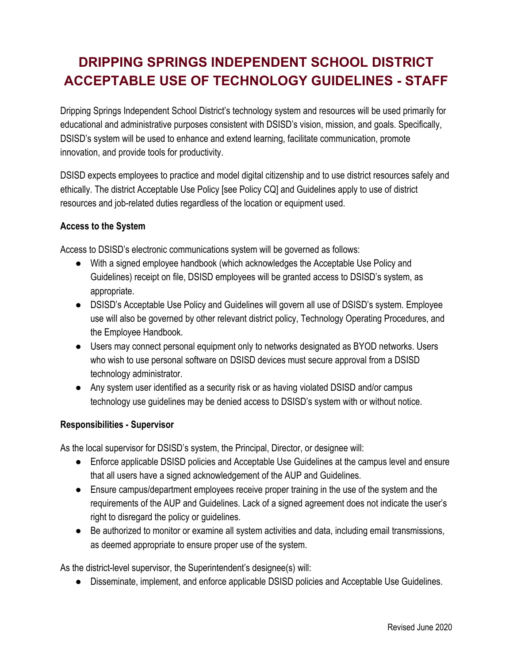# **DRIPPING SPRINGS INDEPENDENT SCHOOL DISTRICT ACCEPTABLE USE OF TECHNOLOGY GUIDELINES - STAFF**

Dripping Springs Independent School District's technology system and resources will be used primarily for educational and administrative purposes consistent with DSISD's vision, mission, and goals. Specifically, DSISD's system will be used to enhance and extend learning, facilitate communication, promote innovation, and provide tools for productivity.

DSISD expects employees to practice and model digital citizenship and to use district resources safely and ethically. The district Acceptable Use Policy [see Policy CQ] and Guidelines apply to use of district resources and job-related duties regardless of the location or equipment used.

# **Access to the System**

Access to DSISD's electronic communications system will be governed as follows:

- With a signed employee handbook (which acknowledges the Acceptable Use Policy and Guidelines) receipt on file, DSISD employees will be granted access to DSISD's system, as appropriate.
- DSISD's Acceptable Use Policy and Guidelines will govern all use of DSISD's system. Employee use will also be governed by other relevant district policy, Technology Operating Procedures, and the Employee Handbook.
- Users may connect personal equipment only to networks designated as BYOD networks. Users who wish to use personal software on DSISD devices must secure approval from a DSISD technology administrator.
- Any system user identified as a security risk or as having violated DSISD and/or campus technology use guidelines may be denied access to DSISD's system with or without notice.

#### **Responsibilities - Supervisor**

As the local supervisor for DSISD's system, the Principal, Director, or designee will:

- Enforce applicable DSISD policies and Acceptable Use Guidelines at the campus level and ensure that all users have a signed acknowledgement of the AUP and Guidelines.
- Ensure campus/department employees receive proper training in the use of the system and the requirements of the AUP and Guidelines. Lack of a signed agreement does not indicate the user's right to disregard the policy or guidelines.
- Be authorized to monitor or examine all system activities and data, including email transmissions, as deemed appropriate to ensure proper use of the system.

As the district-level supervisor, the Superintendent's designee(s) will:

● Disseminate, implement, and enforce applicable DSISD policies and Acceptable Use Guidelines.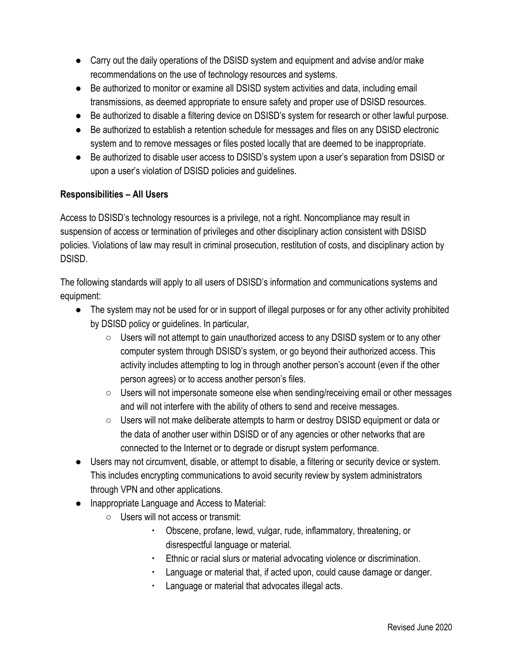- Carry out the daily operations of the DSISD system and equipment and advise and/or make recommendations on the use of technology resources and systems.
- Be authorized to monitor or examine all DSISD system activities and data, including email transmissions, as deemed appropriate to ensure safety and proper use of DSISD resources.
- Be authorized to disable a filtering device on DSISD's system for research or other lawful purpose.
- Be authorized to establish a retention schedule for messages and files on any DSISD electronic system and to remove messages or files posted locally that are deemed to be inappropriate.
- Be authorized to disable user access to DSISD's system upon a user's separation from DSISD or upon a user's violation of DSISD policies and guidelines.

# **Responsibilities – All Users**

Access to DSISD's technology resources is a privilege, not a right. Noncompliance may result in suspension of access or termination of privileges and other disciplinary action consistent with DSISD policies. Violations of law may result in criminal prosecution, restitution of costs, and disciplinary action by DSISD.

The following standards will apply to all users of DSISD's information and communications systems and equipment:

- The system may not be used for or in support of illegal purposes or for any other activity prohibited by DSISD policy or guidelines. In particular,
	- $\circ$  Users will not attempt to gain unauthorized access to any DSISD system or to any other computer system through DSISD's system, or go beyond their authorized access. This activity includes attempting to log in through another person's account (even if the other person agrees) or to access another person's files.
	- Users will not impersonate someone else when sending/receiving email or other messages and will not interfere with the ability of others to send and receive messages.
	- Users will not make deliberate attempts to harm or destroy DSISD equipment or data or the data of another user within DSISD or of any agencies or other networks that are connected to the Internet or to degrade or disrupt system performance.
- Users may not circumvent, disable, or attempt to disable, a filtering or security device or system. This includes encrypting communications to avoid security review by system administrators through VPN and other applications.
- Inappropriate Language and Access to Material:
	- Users will not access or transmit:
		- Obscene, profane, lewd, vulgar, rude, inflammatory, threatening, or disrespectful language or material.
		- Ethnic or racial slurs or material advocating violence or discrimination.
		- Language or material that, if acted upon, could cause damage or danger.
		- Language or material that advocates illegal acts.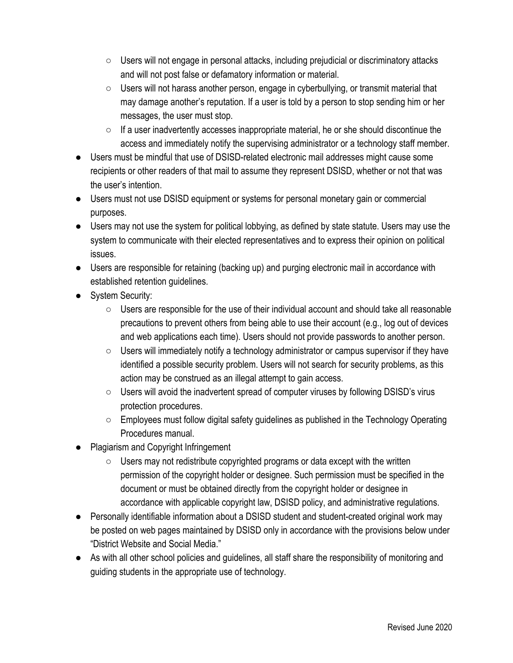- $\circ$  Users will not engage in personal attacks, including prejudicial or discriminatory attacks and will not post false or defamatory information or material.
- $\circ$  Users will not harass another person, engage in cyberbullying, or transmit material that may damage another's reputation. If a user is told by a person to stop sending him or her messages, the user must stop.
- $\circ$  If a user inadvertently accesses inappropriate material, he or she should discontinue the access and immediately notify the supervising administrator or a technology staff member.
- Users must be mindful that use of DSISD-related electronic mail addresses might cause some recipients or other readers of that mail to assume they represent DSISD, whether or not that was the user's intention.
- Users must not use DSISD equipment or systems for personal monetary gain or commercial purposes.
- Users may not use the system for political lobbying, as defined by state statute. Users may use the system to communicate with their elected representatives and to express their opinion on political issues.
- Users are responsible for retaining (backing up) and purging electronic mail in accordance with established retention guidelines.
- System Security:
	- $\circ$  Users are responsible for the use of their individual account and should take all reasonable precautions to prevent others from being able to use their account (e.g., log out of devices and web applications each time). Users should not provide passwords to another person.
	- $\circ$  Users will immediately notify a technology administrator or campus supervisor if they have identified a possible security problem. Users will not search for security problems, as this action may be construed as an illegal attempt to gain access.
	- $\circ$  Users will avoid the inadvertent spread of computer viruses by following DSISD's virus protection procedures.
	- Employees must follow digital safety guidelines as published in the Technology Operating Procedures manual.
- **Plagiarism and Copyright Infringement** 
	- Users may not redistribute copyrighted programs or data except with the written permission of the copyright holder or designee. Such permission must be specified in the document or must be obtained directly from the copyright holder or designee in accordance with applicable copyright law, DSISD policy, and administrative regulations.
- Personally identifiable information about a DSISD student and student-created original work may be posted on web pages maintained by DSISD only in accordance with the provisions below under "District Website and Social Media."
- As with all other school policies and guidelines, all staff share the responsibility of monitoring and guiding students in the appropriate use of technology.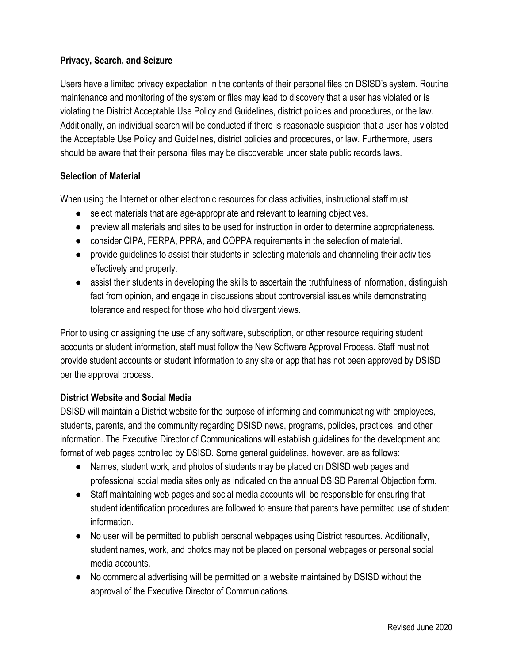# **Privacy, Search, and Seizure**

Users have a limited privacy expectation in the contents of their personal files on DSISD's system. Routine maintenance and monitoring of the system or files may lead to discovery that a user has violated or is violating the District Acceptable Use Policy and Guidelines, district policies and procedures, or the law. Additionally, an individual search will be conducted if there is reasonable suspicion that a user has violated the Acceptable Use Policy and Guidelines, district policies and procedures, or law. Furthermore, users should be aware that their personal files may be discoverable under state public records laws.

# **Selection of Material**

When using the Internet or other electronic resources for class activities, instructional staff must

- select materials that are age-appropriate and relevant to learning objectives.
- preview all materials and sites to be used for instruction in order to determine appropriateness.
- consider CIPA, FERPA, PPRA, and COPPA requirements in the selection of material.
- provide quidelines to assist their students in selecting materials and channeling their activities effectively and properly.
- assist their students in developing the skills to ascertain the truthfulness of information, distinguish fact from opinion, and engage in discussions about controversial issues while demonstrating tolerance and respect for those who hold divergent views.

Prior to using or assigning the use of any software, subscription, or other resource requiring student accounts or student information, staff must follow the New Software Approval Process. Staff must not provide student accounts or student information to any site or app that has not been approved by DSISD per the approval process.

# **District Website and Social Media**

DSISD will maintain a District website for the purpose of informing and communicating with employees, students, parents, and the community regarding DSISD news, programs, policies, practices, and other information. The Executive Director of Communications will establish guidelines for the development and format of web pages controlled by DSISD. Some general guidelines, however, are as follows:

- Names, student work, and photos of students may be placed on DSISD web pages and professional social media sites only as indicated on the annual DSISD Parental Objection form.
- Staff maintaining web pages and social media accounts will be responsible for ensuring that student identification procedures are followed to ensure that parents have permitted use of student information.
- No user will be permitted to publish personal webpages using District resources. Additionally, student names, work, and photos may not be placed on personal webpages or personal social media accounts.
- No commercial advertising will be permitted on a website maintained by DSISD without the approval of the Executive Director of Communications.